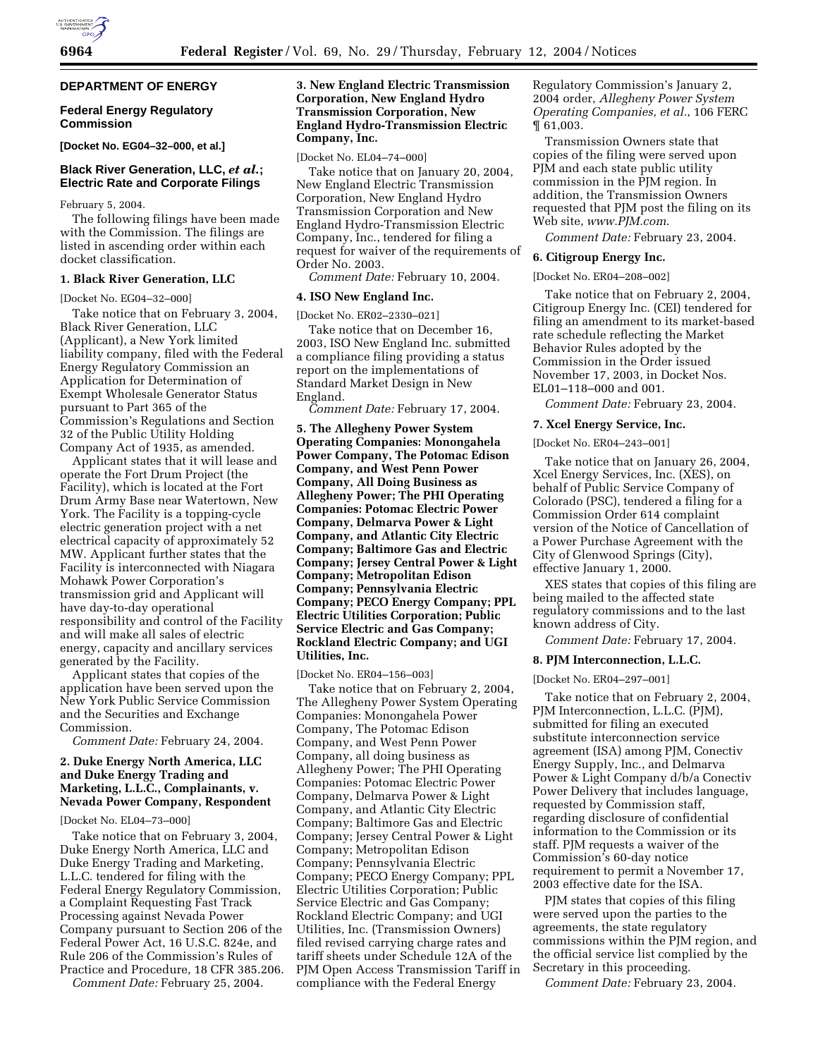# **DEPARTMENT OF ENERGY**

### **Federal Energy Regulatory Commission**

**[Docket No. EG04–32–000, et al.]** 

# **Black River Generation, LLC,** *et al.***; Electric Rate and Corporate Filings**

February 5, 2004.

The following filings have been made with the Commission. The filings are listed in ascending order within each docket classification.

## **1. Black River Generation, LLC**

[Docket No. EG04–32–000]

Take notice that on February 3, 2004, Black River Generation, LLC (Applicant), a New York limited liability company, filed with the Federal Energy Regulatory Commission an Application for Determination of Exempt Wholesale Generator Status pursuant to Part 365 of the Commission's Regulations and Section 32 of the Public Utility Holding Company Act of 1935, as amended.

Applicant states that it will lease and operate the Fort Drum Project (the Facility), which is located at the Fort Drum Army Base near Watertown, New York. The Facility is a topping-cycle electric generation project with a net electrical capacity of approximately 52 MW. Applicant further states that the Facility is interconnected with Niagara Mohawk Power Corporation's transmission grid and Applicant will have day-to-day operational responsibility and control of the Facility and will make all sales of electric energy, capacity and ancillary services generated by the Facility.

Applicant states that copies of the application have been served upon the New York Public Service Commission and the Securities and Exchange Commission.

*Comment Date:* February 24, 2004.

# **2. Duke Energy North America, LLC and Duke Energy Trading and Marketing, L.L.C., Complainants, v. Nevada Power Company, Respondent**

# [Docket No. EL04–73–000]

Take notice that on February 3, 2004, Duke Energy North America, LLC and Duke Energy Trading and Marketing, L.L.C. tendered for filing with the Federal Energy Regulatory Commission, a Complaint Requesting Fast Track Processing against Nevada Power Company pursuant to Section 206 of the Federal Power Act, 16 U.S.C. 824e, and Rule 206 of the Commission's Rules of Practice and Procedure, 18 CFR 385.206.

*Comment Date:* February 25, 2004.

# **3. New England Electric Transmission Corporation, New England Hydro Transmission Corporation, New England Hydro-Transmission Electric Company, Inc.**

[Docket No. EL04–74–000]

Take notice that on January 20, 2004, New England Electric Transmission Corporation, New England Hydro Transmission Corporation and New England Hydro-Transmission Electric Company, Inc., tendered for filing a request for waiver of the requirements of Order No. 2003.

*Comment Date:* February 10, 2004.

## **4. ISO New England Inc.**

[Docket No. ER02–2330–021]

Take notice that on December 16, 2003, ISO New England Inc. submitted a compliance filing providing a status report on the implementations of Standard Market Design in New England.

*Comment Date:* February 17, 2004.

**5. The Allegheny Power System Operating Companies: Monongahela Power Company, The Potomac Edison Company, and West Penn Power Company, All Doing Business as Allegheny Power; The PHI Operating Companies: Potomac Electric Power Company, Delmarva Power & Light Company, and Atlantic City Electric Company; Baltimore Gas and Electric Company; Jersey Central Power & Light Company; Metropolitan Edison Company; Pennsylvania Electric Company; PECO Energy Company; PPL Electric Utilities Corporation; Public Service Electric and Gas Company; Rockland Electric Company; and UGI Utilities, Inc.** 

[Docket No. ER04–156–003]

Take notice that on February 2, 2004, The Allegheny Power System Operating Companies: Monongahela Power Company, The Potomac Edison Company, and West Penn Power Company, all doing business as Allegheny Power; The PHI Operating Companies: Potomac Electric Power Company, Delmarva Power & Light Company, and Atlantic City Electric Company; Baltimore Gas and Electric Company; Jersey Central Power & Light Company; Metropolitan Edison Company; Pennsylvania Electric Company; PECO Energy Company; PPL Electric Utilities Corporation; Public Service Electric and Gas Company; Rockland Electric Company; and UGI Utilities, Inc. (Transmission Owners) filed revised carrying charge rates and tariff sheets under Schedule 12A of the PJM Open Access Transmission Tariff in compliance with the Federal Energy

Regulatory Commission's January 2, 2004 order, *Allegheny Power System Operating Companies, et al.*, 106 FERC ¶ 61,003.

Transmission Owners state that copies of the filing were served upon PJM and each state public utility commission in the PJM region. In addition, the Transmission Owners requested that PJM post the filing on its Web site, *www.PJM.com*.

*Comment Date:* February 23, 2004.

#### **6. Citigroup Energy Inc.**

[Docket No. ER04–208–002]

Take notice that on February 2, 2004, Citigroup Energy Inc. (CEI) tendered for filing an amendment to its market-based rate schedule reflecting the Market Behavior Rules adopted by the Commission in the Order issued November 17, 2003, in Docket Nos. EL01–118–000 and 001.

*Comment Date:* February 23, 2004.

## **7. Xcel Energy Service, Inc.**

[Docket No. ER04–243–001]

Take notice that on January 26, 2004, Xcel Energy Services, Inc. (XES), on behalf of Public Service Company of Colorado (PSC), tendered a filing for a Commission Order 614 complaint version of the Notice of Cancellation of a Power Purchase Agreement with the City of Glenwood Springs (City), effective January 1, 2000.

XES states that copies of this filing are being mailed to the affected state regulatory commissions and to the last known address of City.

*Comment Date:* February 17, 2004.

#### **8. PJM Interconnection, L.L.C.**

[Docket No. ER04–297–001]

Take notice that on February 2, 2004, PJM Interconnection, L.L.C. (PJM), submitted for filing an executed substitute interconnection service agreement (ISA) among PJM, Conectiv Energy Supply, Inc., and Delmarva Power & Light Company d/b/a Conectiv Power Delivery that includes language, requested by Commission staff, regarding disclosure of confidential information to the Commission or its staff. PJM requests a waiver of the Commission's 60-day notice requirement to permit a November 17, 2003 effective date for the ISA.

PJM states that copies of this filing were served upon the parties to the agreements, the state regulatory commissions within the PJM region, and the official service list complied by the Secretary in this proceeding.

*Comment Date:* February 23, 2004.